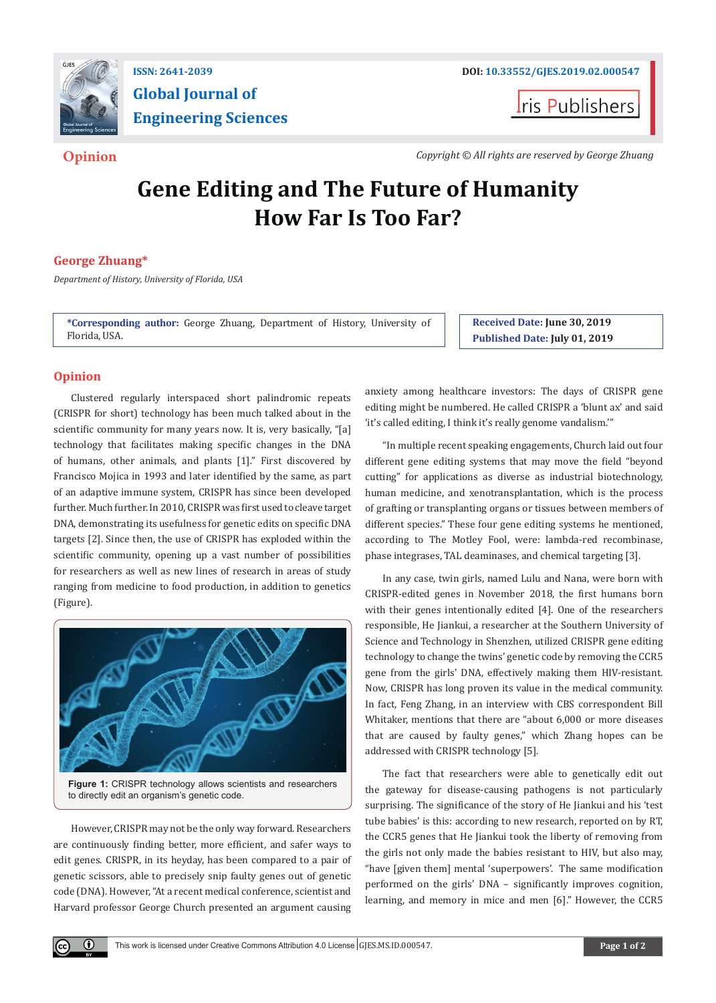

# **Global Journal of Engineering Sciences**

**I**ris Publishers

**Opinion** *Copyright © All rights are reserved by George Zhuang*

# **Gene Editing and The Future of Humanity How Far Is Too Far?**

# **George Zhuang\***

*Department of History, University of Florida, USA*

**\*Corresponding author:** George Zhuang, Department of History, University of Florida, USA.

**Received Date: June 30, 2019 Published Date: July 01, 2019**

## **Opinion**

 $(\cdot)$ 

Clustered regularly interspaced short palindromic repeats (CRISPR for short) technology has been much talked about in the scientific community for many years now. It is, very basically, "[a] technology that facilitates making specific changes in the DNA of humans, other animals, and plants [1]." First discovered by Francisco Mojica in 1993 and later identified by the same, as part of an adaptive immune system, CRISPR has since been developed further. Much further. In 2010, CRISPR was first used to cleave target DNA, demonstrating its usefulness for genetic edits on specific DNA targets [2]. Since then, the use of CRISPR has exploded within the scientific community, opening up a vast number of possibilities for researchers as well as new lines of research in areas of study ranging from medicine to food production, in addition to genetics (Figure).



**Figure 1:** CRISPR technology allows scientists and researchers to directly edit an organism's genetic code.

However, CRISPR may not be the only way forward. Researchers are continuously finding better, more efficient, and safer ways to edit genes. CRISPR, in its heyday, has been compared to a pair of genetic scissors, able to precisely snip faulty genes out of genetic code (DNA). However, "At a recent medical conference, scientist and Harvard professor George Church presented an argument causing anxiety among healthcare investors: The days of CRISPR gene editing might be numbered. He called CRISPR a 'blunt ax' and said 'it's called editing, I think it's really genome vandalism.'"

"In multiple recent speaking engagements, Church laid out four different gene editing systems that may move the field "beyond cutting" for applications as diverse as industrial biotechnology, human medicine, and xenotransplantation, which is the process of grafting or transplanting organs or tissues between members of different species." These four gene editing systems he mentioned, according to The Motley Fool, were: lambda-red recombinase, phase integrases, TAL deaminases, and chemical targeting [3].

In any case, twin girls, named Lulu and Nana, were born with CRISPR-edited genes in November 2018, the first humans born with their genes intentionally edited [4]. One of the researchers responsible, He Jiankui, a researcher at the Southern University of Science and Technology in Shenzhen, utilized CRISPR gene editing technology to change the twins' genetic code by removing the CCR5 gene from the girls' DNA, effectively making them HIV-resistant. Now, CRISPR has long proven its value in the medical community. In fact, Feng Zhang, in an interview with CBS correspondent Bill Whitaker, mentions that there are "about 6,000 or more diseases that are caused by faulty genes," which Zhang hopes can be addressed with CRISPR technology [5].

The fact that researchers were able to genetically edit out the gateway for disease-causing pathogens is not particularly surprising. The significance of the story of He Jiankui and his 'test tube babies' is this: according to new research, reported on by RT, the CCR5 genes that He Jiankui took the liberty of removing from the girls not only made the babies resistant to HIV, but also may, "have [given them] mental 'superpowers'. The same modification performed on the girls' DNA – significantly improves cognition, learning, and memory in mice and men [6]." However, the CCR5